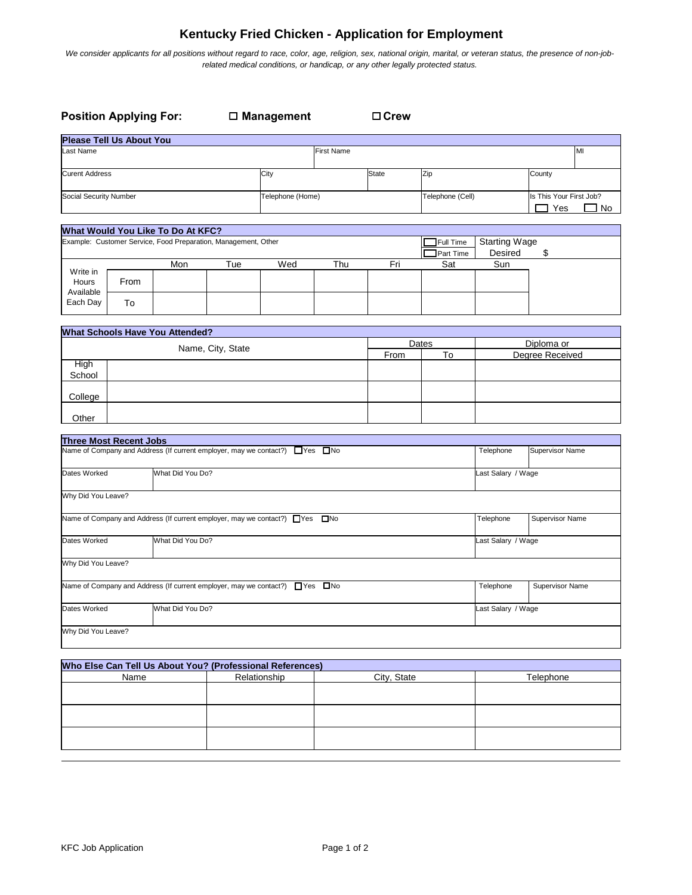## **Kentucky Fried Chicken - Application for Employment**

We consider applicants for all positions without regard to race, color, age, religion, sex, national origin, marital, or veteran status, the presence of non-job*related medical conditions, or handicap, or any other legally protected status.*

| <b>Position Applying For:</b>                                                            |      |                                                                          |                   | $\square$ Management |                   | $\Box$ Crew      |                        |                                        |                               |
|------------------------------------------------------------------------------------------|------|--------------------------------------------------------------------------|-------------------|----------------------|-------------------|------------------|------------------------|----------------------------------------|-------------------------------|
| <b>Please Tell Us About You</b>                                                          |      |                                                                          |                   |                      |                   |                  |                        |                                        |                               |
| ast Name                                                                                 |      |                                                                          |                   |                      | <b>First Name</b> |                  |                        |                                        | MI                            |
| <b>Curent Address</b>                                                                    |      |                                                                          | City              |                      | <b>State</b>      | Zip              |                        | County                                 |                               |
| Social Security Number                                                                   |      |                                                                          | Telephone (Home)  |                      |                   | Telephone (Cell) |                        | Is This Your First Job?<br>Yes<br>⊐ No |                               |
|                                                                                          |      | What Would You Like To Do At KFC?                                        |                   |                      |                   |                  |                        |                                        |                               |
| Example: Customer Service, Food Preparation, Management, Other                           |      |                                                                          |                   |                      |                   |                  | Full Time<br>Part Time | <b>Starting Wage</b><br>Desired        | \$                            |
| Write in                                                                                 |      | Mon                                                                      | Tue               | Wed                  | Thu               | Fri              | Sat                    | Sun                                    |                               |
| Hours<br>Available                                                                       | From |                                                                          |                   |                      |                   |                  |                        |                                        |                               |
| Each Day                                                                                 | To   |                                                                          |                   |                      |                   |                  |                        |                                        |                               |
|                                                                                          |      | <b>What Schools Have You Attended?</b>                                   |                   |                      |                   |                  |                        |                                        |                               |
|                                                                                          |      |                                                                          | Name, City, State |                      |                   | From             | Dates<br>To            |                                        | Diploma or<br>Degree Received |
| High<br>School                                                                           |      |                                                                          |                   |                      |                   |                  |                        |                                        |                               |
| College                                                                                  |      |                                                                          |                   |                      |                   |                  |                        |                                        |                               |
| Other                                                                                    |      |                                                                          |                   |                      |                   |                  |                        |                                        |                               |
| <b>Three Most Recent Jobs</b>                                                            |      |                                                                          |                   |                      |                   |                  |                        |                                        |                               |
|                                                                                          |      | Name of Company and Address (If current employer, may we contact?) □ Yes |                   |                      | $\square$ No      |                  |                        | Telephone                              | Supervisor Name               |
| Dates Worked                                                                             |      | What Did You Do?                                                         |                   |                      |                   |                  |                        | Last Salary / Wage                     |                               |
| Why Did You Leave?                                                                       |      |                                                                          |                   |                      |                   |                  |                        |                                        |                               |
| Name of Company and Address (If current employer, may we contact?) □ Yes □ No            |      |                                                                          |                   |                      |                   |                  | Telephone              | Supervisor Name                        |                               |
| What Did You Do?<br>Dates Worked                                                         |      |                                                                          |                   |                      |                   |                  | Last Salary / Wage     |                                        |                               |
| Why Did You Leave?                                                                       |      |                                                                          |                   |                      |                   |                  |                        |                                        |                               |
| Name of Company and Address (If current employer, may we contact?) ■ Yes<br>$\square$ No |      |                                                                          |                   |                      |                   |                  | Telephone              | Supervisor Name                        |                               |
| What Did You Do?<br>Dates Worked                                                         |      |                                                                          |                   |                      |                   |                  | Last Salary / Wage     |                                        |                               |
| Why Did You Leave?                                                                       |      |                                                                          |                   |                      |                   |                  |                        |                                        |                               |
|                                                                                          |      |                                                                          |                   |                      |                   |                  |                        |                                        |                               |
| Who Else Can Tell Us About You? (Professional References)<br>Relationship<br>Name        |      |                                                                          |                   | City, State          |                   |                  | Telephone              |                                        |                               |
|                                                                                          |      |                                                                          |                   |                      |                   |                  |                        |                                        |                               |
|                                                                                          |      |                                                                          |                   |                      |                   |                  |                        |                                        |                               |
|                                                                                          |      |                                                                          |                   |                      |                   |                  |                        |                                        |                               |
|                                                                                          |      |                                                                          |                   |                      |                   |                  |                        |                                        |                               |